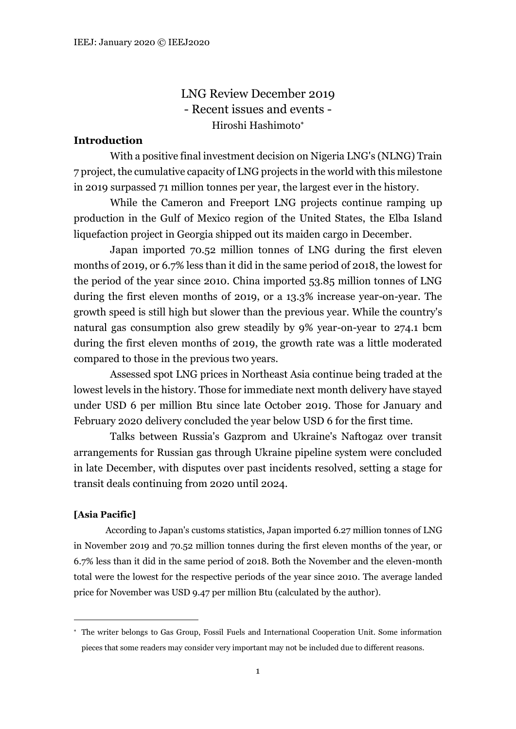LNG Review December 2019 - Recent issues and events - Hiroshi Hashimoto

# **Introduction**

With a positive final investment decision on Nigeria LNG's (NLNG) Train 7 project, the cumulative capacity of LNG projects in the world with this milestone in 2019 surpassed 71 million tonnes per year, the largest ever in the history.

While the Cameron and Freeport LNG projects continue ramping up production in the Gulf of Mexico region of the United States, the Elba Island liquefaction project in Georgia shipped out its maiden cargo in December.

Japan imported 70.52 million tonnes of LNG during the first eleven months of 2019, or 6.7% less than it did in the same period of 2018, the lowest for the period of the year since 2010. China imported 53.85 million tonnes of LNG during the first eleven months of 2019, or a 13.3% increase year-on-year. The growth speed is still high but slower than the previous year. While the country's natural gas consumption also grew steadily by 9% year-on-year to 274.1 bcm during the first eleven months of 2019, the growth rate was a little moderated compared to those in the previous two years.

Assessed spot LNG prices in Northeast Asia continue being traded at the lowest levels in the history. Those for immediate next month delivery have stayed under USD 6 per million Btu since late October 2019. Those for January and February 2020 delivery concluded the year below USD 6 for the first time.

Talks between Russia's Gazprom and Ukraine's Naftogaz over transit arrangements for Russian gas through Ukraine pipeline system were concluded in late December, with disputes over past incidents resolved, setting a stage for transit deals continuing from 2020 until 2024.

### **[Asia Pacific]**

According to Japan's customs statistics, Japan imported 6.27 million tonnes of LNG in November 2019 and 70.52 million tonnes during the first eleven months of the year, or 6.7% less than it did in the same period of 2018. Both the November and the eleven-month total were the lowest for the respective periods of the year since 2010. The average landed price for November was USD 9.47 per million Btu (calculated by the author).

The writer belongs to Gas Group, Fossil Fuels and International Cooperation Unit. Some information pieces that some readers may consider very important may not be included due to different reasons.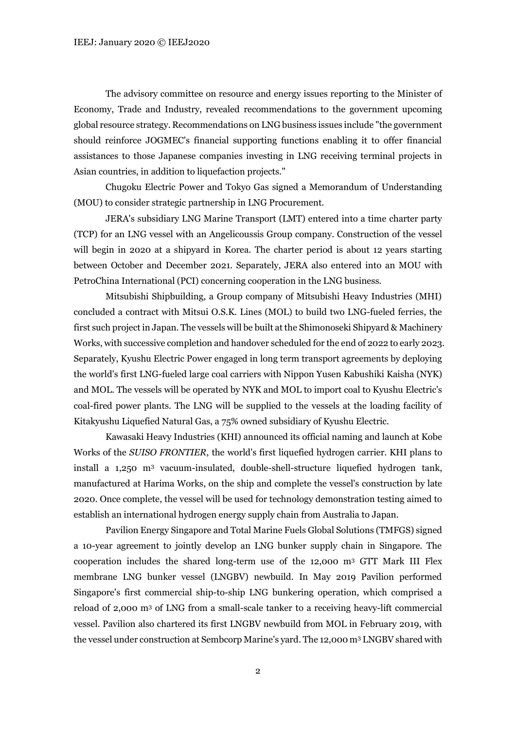The advisory committee on resource and energy issues reporting to the Minister of Economy, Trade and Industry, revealed recommendations to the government upcoming global resource strategy. Recommendations on LNG business issues include "the government should reinforce JOGMEC's financial supporting functions enabling it to offer financial assistances to those Japanese companies investing in LNG receiving terminal projects in Asian countries, in addition to liquefaction projects."

Chugoku Electric Power and Tokyo Gas signed a Memorandum of Understanding (MOU) to consider strategic partnership in LNG Procurement.

JERA's subsidiary LNG Marine Transport (LMT) entered into a time charter party (TCP) for an LNG vessel with an Angelicoussis Group company. Construction of the vessel will begin in 2020 at a shipyard in Korea. The charter period is about 12 years starting between October and December 2021. Separately, JERA also entered into an MOU with PetroChina International (PCI) concerning cooperation in the LNG business.

Mitsubishi Shipbuilding, a Group company of Mitsubishi Heavy Industries (MHI) concluded a contract with Mitsui O.S.K. Lines (MOL) to build two LNG-fueled ferries, the first such project in Japan. The vessels will be built at the Shimonoseki Shipyard & Machinery Works, with successive completion and handover scheduled for the end of 2022 to early 2023. Separately, Kyushu Electric Power engaged in long term transport agreements by deploying the world's first LNG-fueled large coal carriers with Nippon Yusen Kabushiki Kaisha (NYK) and MOL. The vessels will be operated by NYK and MOL to import coal to Kyushu Electric's coal-fired power plants. The LNG will be supplied to the vessels at the loading facility of Kitakyushu Liquefied Natural Gas, a 75% owned subsidiary of Kyushu Electric.

Kawasaki Heavy Industries (KHI) announced its official naming and launch at Kobe Works of the *SUISO FRONTIER*, the world's first liquefied hydrogen carrier. KHI plans to install a 1,250 m<sup>3</sup> vacuum-insulated, double-shell-structure liquefied hydrogen tank, manufactured at Harima Works, on the ship and complete the vessel's construction by late 2020. Once complete, the vessel will be used for technology demonstration testing aimed to establish an international hydrogen energy supply chain from Australia to Japan.

Pavilion Energy Singapore and Total Marine Fuels Global Solutions (TMFGS) signed a 10-year agreement to jointly develop an LNG bunker supply chain in Singapore. The cooperation includes the shared long-term use of the 12,000 m<sup>3</sup> GTT Mark III Flex membrane LNG bunker vessel (LNGBV) newbuild. In May 2019 Pavilion performed Singapore's first commercial ship-to-ship LNG bunkering operation, which comprised a reload of 2,000 m<sup>3</sup> of LNG from a small-scale tanker to a receiving heavy-lift commercial vessel. Pavilion also chartered its first LNGBV newbuild from MOL in February 2019, with the vessel under construction at Sembcorp Marine's yard. The 12,000 m<sup>3</sup> LNGBV shared with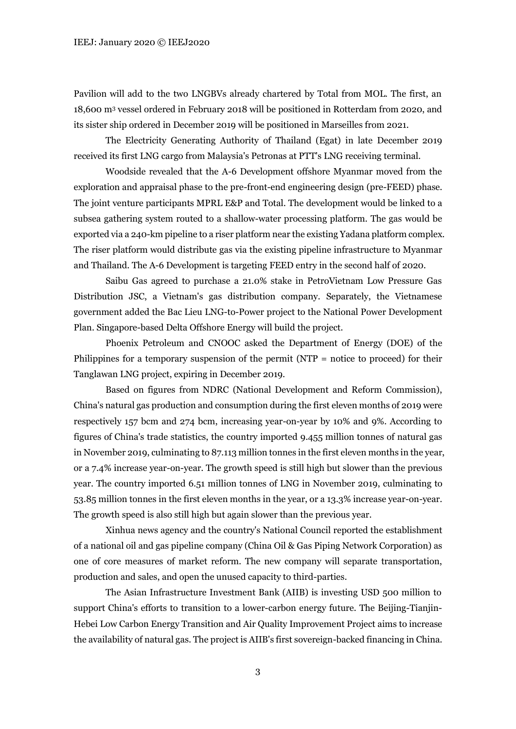Pavilion will add to the two LNGBVs already chartered by Total from MOL. The first, an 18,600 m<sup>3</sup> vessel ordered in February 2018 will be positioned in Rotterdam from 2020, and its sister ship ordered in December 2019 will be positioned in Marseilles from 2021.

The Electricity Generating Authority of Thailand (Egat) in late December 2019 received its first LNG cargo from Malaysia's Petronas at PTT's LNG receiving terminal.

Woodside revealed that the A-6 Development offshore Myanmar moved from the exploration and appraisal phase to the pre-front-end engineering design (pre-FEED) phase. The joint venture participants MPRL E&P and Total. The development would be linked to a subsea gathering system routed to a shallow-water processing platform. The gas would be exported via a 240-km pipeline to a riser platform near the existing Yadana platform complex. The riser platform would distribute gas via the existing pipeline infrastructure to Myanmar and Thailand. The A-6 Development is targeting FEED entry in the second half of 2020.

Saibu Gas agreed to purchase a 21.0% stake in PetroVietnam Low Pressure Gas Distribution JSC, a Vietnam's gas distribution company. Separately, the Vietnamese government added the Bac Lieu LNG-to-Power project to the National Power Development Plan. Singapore-based Delta Offshore Energy will build the project.

Phoenix Petroleum and CNOOC asked the Department of Energy (DOE) of the Philippines for a temporary suspension of the permit (NTP = notice to proceed) for their Tanglawan LNG project, expiring in December 2019.

Based on figures from NDRC (National Development and Reform Commission), China's natural gas production and consumption during the first eleven months of 2019 were respectively 157 bcm and 274 bcm, increasing year-on-year by 10% and 9%. According to figures of China's trade statistics, the country imported 9.455 million tonnes of natural gas in November 2019, culminating to 87.113 million tonnes in the first eleven months in the year, or a 7.4% increase year-on-year. The growth speed is still high but slower than the previous year. The country imported 6.51 million tonnes of LNG in November 2019, culminating to 53.85 million tonnes in the first eleven months in the year, or a 13.3% increase year-on-year. The growth speed is also still high but again slower than the previous year.

Xinhua news agency and the country's National Council reported the establishment of a national oil and gas pipeline company (China Oil & Gas Piping Network Corporation) as one of core measures of market reform. The new company will separate transportation, production and sales, and open the unused capacity to third-parties.

The Asian Infrastructure Investment Bank (AIIB) is investing USD 500 million to support China's efforts to transition to a lower-carbon energy future. The Beijing-Tianjin-Hebei Low Carbon Energy Transition and Air Quality Improvement Project aims to increase the availability of natural gas. The project is AIIB's first sovereign-backed financing in China.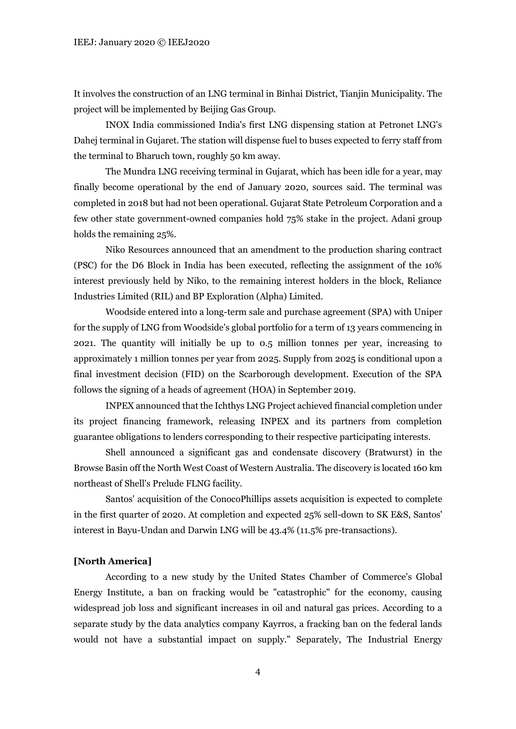It involves the construction of an LNG terminal in Binhai District, Tianjin Municipality. The project will be implemented by Beijing Gas Group.

INOX India commissioned India's first LNG dispensing station at Petronet LNG's Dahej terminal in Gujaret. The station will dispense fuel to buses expected to ferry staff from the terminal to Bharuch town, roughly 50 km away.

The Mundra LNG receiving terminal in Gujarat, which has been idle for a year, may finally become operational by the end of January 2020, sources said. The terminal was completed in 2018 but had not been operational. Gujarat State Petroleum Corporation and a few other state government-owned companies hold 75% stake in the project. Adani group holds the remaining 25%.

Niko Resources announced that an amendment to the production sharing contract (PSC) for the D6 Block in India has been executed, reflecting the assignment of the 10% interest previously held by Niko, to the remaining interest holders in the block, Reliance Industries Limited (RIL) and BP Exploration (Alpha) Limited.

Woodside entered into a long-term sale and purchase agreement (SPA) with Uniper for the supply of LNG from Woodside's global portfolio for a term of 13 years commencing in 2021. The quantity will initially be up to 0.5 million tonnes per year, increasing to approximately 1 million tonnes per year from 2025. Supply from 2025 is conditional upon a final investment decision (FID) on the Scarborough development. Execution of the SPA follows the signing of a heads of agreement (HOA) in September 2019.

INPEX announced that the Ichthys LNG Project achieved financial completion under its project financing framework, releasing INPEX and its partners from completion guarantee obligations to lenders corresponding to their respective participating interests.

Shell announced a significant gas and condensate discovery (Bratwurst) in the Browse Basin off the North West Coast of Western Australia. The discovery is located 160 km northeast of Shell's Prelude FLNG facility.

Santos' acquisition of the ConocoPhillips assets acquisition is expected to complete in the first quarter of 2020. At completion and expected 25% sell-down to SK E&S, Santos' interest in Bayu-Undan and Darwin LNG will be 43.4% (11.5% pre-transactions).

#### **[North America]**

According to a new study by the United States Chamber of Commerce's Global Energy Institute, a ban on fracking would be "catastrophic" for the economy, causing widespread job loss and significant increases in oil and natural gas prices. According to a separate study by the data analytics company Kayrros, a fracking ban on the federal lands would not have a substantial impact on supply." Separately, The Industrial Energy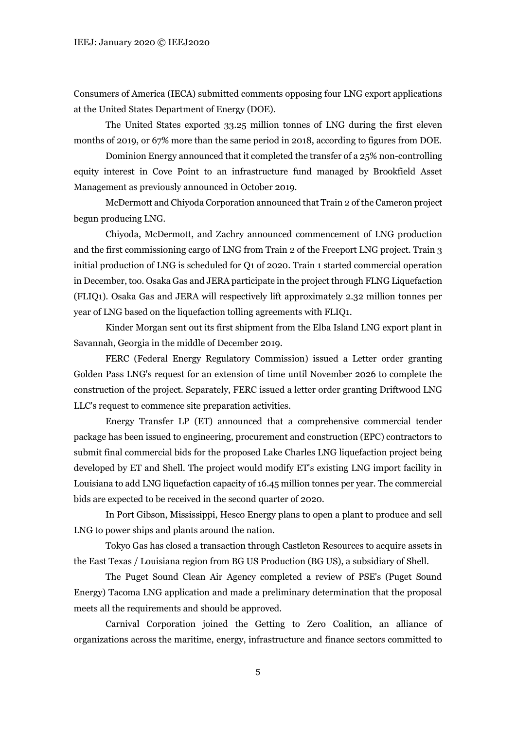Consumers of America (IECA) submitted comments opposing four LNG export applications at the United States Department of Energy (DOE).

The United States exported 33.25 million tonnes of LNG during the first eleven months of 2019, or 67% more than the same period in 2018, according to figures from DOE.

Dominion Energy announced that it completed the transfer of a 25% non-controlling equity interest in Cove Point to an infrastructure fund managed by Brookfield Asset Management as previously announced in October 2019.

McDermott and Chiyoda Corporation announced that Train 2 of the Cameron project begun producing LNG.

Chiyoda, McDermott, and Zachry announced commencement of LNG production and the first commissioning cargo of LNG from Train 2 of the Freeport LNG project. Train 3 initial production of LNG is scheduled for Q1 of 2020. Train 1 started commercial operation in December, too. Osaka Gas and JERA participate in the project through FLNG Liquefaction (FLIQ1). Osaka Gas and JERA will respectively lift approximately 2.32 million tonnes per year of LNG based on the liquefaction tolling agreements with FLIQ1.

Kinder Morgan sent out its first shipment from the Elba Island LNG export plant in Savannah, Georgia in the middle of December 2019.

FERC (Federal Energy Regulatory Commission) issued a Letter order granting Golden Pass LNG's request for an extension of time until November 2026 to complete the construction of the project. Separately, FERC issued a letter order granting Driftwood LNG LLC's request to commence site preparation activities.

Energy Transfer LP (ET) announced that a comprehensive commercial tender package has been issued to engineering, procurement and construction (EPC) contractors to submit final commercial bids for the proposed Lake Charles LNG liquefaction project being developed by ET and Shell. The project would modify ET's existing LNG import facility in Louisiana to add LNG liquefaction capacity of 16.45 million tonnes per year. The commercial bids are expected to be received in the second quarter of 2020.

In Port Gibson, Mississippi, Hesco Energy plans to open a plant to produce and sell LNG to power ships and plants around the nation.

Tokyo Gas has closed a transaction through Castleton Resources to acquire assets in the East Texas / Louisiana region from BG US Production (BG US), a subsidiary of Shell.

The Puget Sound Clean Air Agency completed a review of PSE's (Puget Sound Energy) Tacoma LNG application and made a preliminary determination that the proposal meets all the requirements and should be approved.

Carnival Corporation joined the Getting to Zero Coalition, an alliance of organizations across the maritime, energy, infrastructure and finance sectors committed to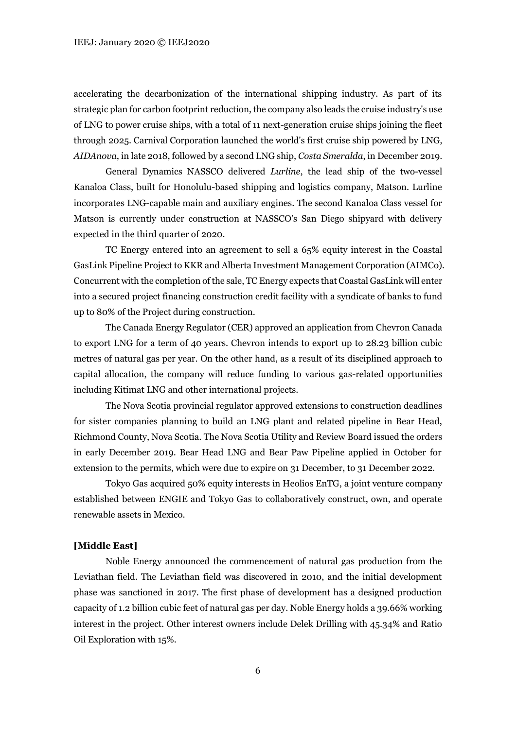accelerating the decarbonization of the international shipping industry. As part of its strategic plan for carbon footprint reduction, the company also leads the cruise industry's use of LNG to power cruise ships, with a total of 11 next-generation cruise ships joining the fleet through 2025. Carnival Corporation launched the world's first cruise ship powered by LNG, *AIDAnova*, in late 2018, followed by a second LNG ship, *Costa Smeralda*, in December 2019.

General Dynamics NASSCO delivered *Lurline*, the lead ship of the two-vessel Kanaloa Class, built for Honolulu-based shipping and logistics company, Matson. Lurline incorporates LNG-capable main and auxiliary engines. The second Kanaloa Class vessel for Matson is currently under construction at NASSCO's San Diego shipyard with delivery expected in the third quarter of 2020.

TC Energy entered into an agreement to sell a 65% equity interest in the Coastal GasLink Pipeline Project to KKR and Alberta Investment Management Corporation (AIMCo). Concurrent with the completion of the sale, TC Energy expects that Coastal GasLink will enter into a secured project financing construction credit facility with a syndicate of banks to fund up to 80% of the Project during construction.

The Canada Energy Regulator (CER) approved an application from Chevron Canada to export LNG for a term of 40 years. Chevron intends to export up to 28.23 billion cubic metres of natural gas per year. On the other hand, as a result of its disciplined approach to capital allocation, the company will reduce funding to various gas-related opportunities including Kitimat LNG and other international projects.

The Nova Scotia provincial regulator approved extensions to construction deadlines for sister companies planning to build an LNG plant and related pipeline in Bear Head, Richmond County, Nova Scotia. The Nova Scotia Utility and Review Board issued the orders in early December 2019. Bear Head LNG and Bear Paw Pipeline applied in October for extension to the permits, which were due to expire on 31 December, to 31 December 2022.

Tokyo Gas acquired 50% equity interests in Heolios EnTG, a joint venture company established between ENGIE and Tokyo Gas to collaboratively construct, own, and operate renewable assets in Mexico.

## **[Middle East]**

Noble Energy announced the commencement of natural gas production from the Leviathan field. The Leviathan field was discovered in 2010, and the initial development phase was sanctioned in 2017. The first phase of development has a designed production capacity of 1.2 billion cubic feet of natural gas per day. Noble Energy holds a 39.66% working interest in the project. Other interest owners include Delek Drilling with 45.34% and Ratio Oil Exploration with 15%.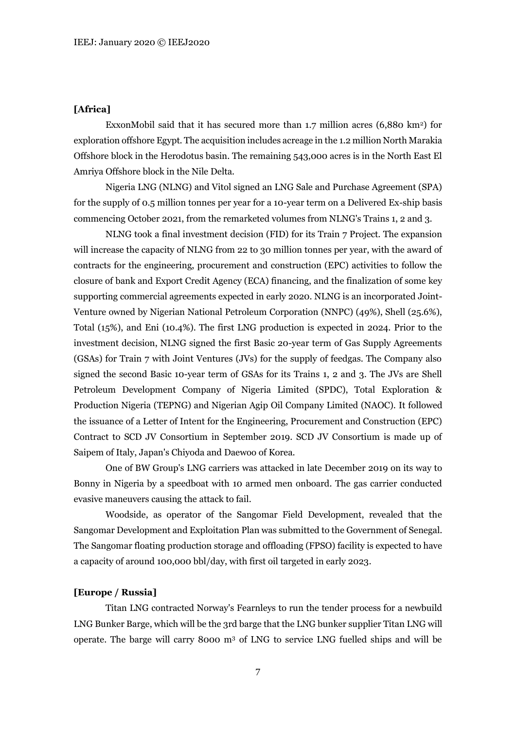#### **[Africa]**

ExxonMobil said that it has secured more than 1.7 million acres (6,880 km<sup>2</sup>) for exploration offshore Egypt. The acquisition includes acreage in the 1.2 million North Marakia Offshore block in the Herodotus basin. The remaining 543,000 acres is in the North East El Amriya Offshore block in the Nile Delta.

Nigeria LNG (NLNG) and Vitol signed an LNG Sale and Purchase Agreement (SPA) for the supply of 0.5 million tonnes per year for a 10-year term on a Delivered Ex-ship basis commencing October 2021, from the remarketed volumes from NLNG's Trains 1, 2 and 3.

NLNG took a final investment decision (FID) for its Train 7 Project. The expansion will increase the capacity of NLNG from 22 to 30 million tonnes per year, with the award of contracts for the engineering, procurement and construction (EPC) activities to follow the closure of bank and Export Credit Agency (ECA) financing, and the finalization of some key supporting commercial agreements expected in early 2020. NLNG is an incorporated Joint-Venture owned by Nigerian National Petroleum Corporation (NNPC) (49%), Shell (25.6%), Total (15%), and Eni (10.4%). The first LNG production is expected in 2024. Prior to the investment decision, NLNG signed the first Basic 20-year term of Gas Supply Agreements (GSAs) for Train 7 with Joint Ventures (JVs) for the supply of feedgas. The Company also signed the second Basic 10-year term of GSAs for its Trains 1, 2 and 3. The JVs are Shell Petroleum Development Company of Nigeria Limited (SPDC), Total Exploration & Production Nigeria (TEPNG) and Nigerian Agip Oil Company Limited (NAOC). It followed the issuance of a Letter of Intent for the Engineering, Procurement and Construction (EPC) Contract to SCD JV Consortium in September 2019. SCD JV Consortium is made up of Saipem of Italy, Japan's Chiyoda and Daewoo of Korea.

One of BW Group's LNG carriers was attacked in late December 2019 on its way to Bonny in Nigeria by a speedboat with 10 armed men onboard. The gas carrier conducted evasive maneuvers causing the attack to fail.

Woodside, as operator of the Sangomar Field Development, revealed that the Sangomar Development and Exploitation Plan was submitted to the Government of Senegal. The Sangomar floating production storage and offloading (FPSO) facility is expected to have a capacity of around 100,000 bbl/day, with first oil targeted in early 2023.

#### **[Europe / Russia]**

Titan LNG contracted Norway's Fearnleys to run the tender process for a newbuild LNG Bunker Barge, which will be the 3rd barge that the LNG bunker supplier Titan LNG will operate. The barge will carry 8000 m<sup>3</sup> of LNG to service LNG fuelled ships and will be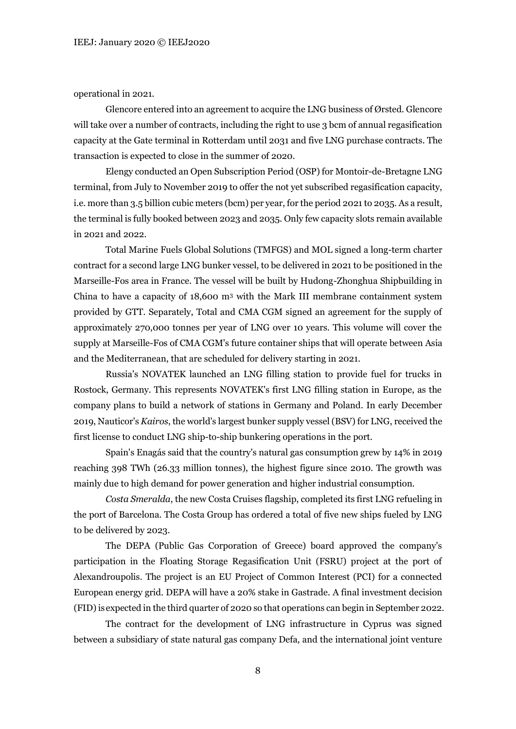operational in 2021.

Glencore entered into an agreement to acquire the LNG business of Ørsted. Glencore will take over a number of contracts, including the right to use 3 bcm of annual regasification capacity at the Gate terminal in Rotterdam until 2031 and five LNG purchase contracts. The transaction is expected to close in the summer of 2020.

Elengy conducted an Open Subscription Period (OSP) for Montoir-de-Bretagne LNG terminal, from July to November 2019 to offer the not yet subscribed regasification capacity, i.e. more than 3.5 billion cubic meters (bcm) per year, for the period 2021 to 2035. As a result, the terminal is fully booked between 2023 and 2035. Only few capacity slots remain available in 2021 and 2022.

Total Marine Fuels Global Solutions (TMFGS) and MOL signed a long-term charter contract for a second large LNG bunker vessel, to be delivered in 2021 to be positioned in the Marseille-Fos area in France. The vessel will be built by Hudong-Zhonghua Shipbuilding in China to have a capacity of  $18,600 \text{ m}^3$  with the Mark III membrane containment system provided by GTT. Separately, Total and CMA CGM signed an agreement for the supply of approximately 270,000 tonnes per year of LNG over 10 years. This volume will cover the supply at Marseille-Fos of CMA CGM's future container ships that will operate between Asia and the Mediterranean, that are scheduled for delivery starting in 2021.

Russia's NOVATEK launched an LNG filling station to provide fuel for trucks in Rostock, Germany. This represents NOVATEK's first LNG filling station in Europe, as the company plans to build a network of stations in Germany and Poland. In early December 2019, Nauticor's *Kairos*, the world's largest bunker supply vessel (BSV) for LNG, received the first license to conduct LNG ship-to-ship bunkering operations in the port.

Spain's Enagás said that the country's natural gas consumption grew by 14% in 2019 reaching 398 TWh (26.33 million tonnes), the highest figure since 2010. The growth was mainly due to high demand for power generation and higher industrial consumption.

*Costa Smeralda*, the new Costa Cruises flagship, completed its first LNG refueling in the port of Barcelona. The Costa Group has ordered a total of five new ships fueled by LNG to be delivered by 2023.

The DEPA (Public Gas Corporation of Greece) board approved the company's participation in the Floating Storage Regasification Unit (FSRU) project at the port of Alexandroupolis. The project is an EU Project of Common Interest (PCI) for a connected European energy grid. DEPA will have a 20% stake in Gastrade. A final investment decision (FID) isexpected in the third quarter of 2020 so that operations can begin in September 2022.

The contract for the development of LNG infrastructure in Cyprus was signed between a subsidiary of state natural gas company Defa, and the international joint venture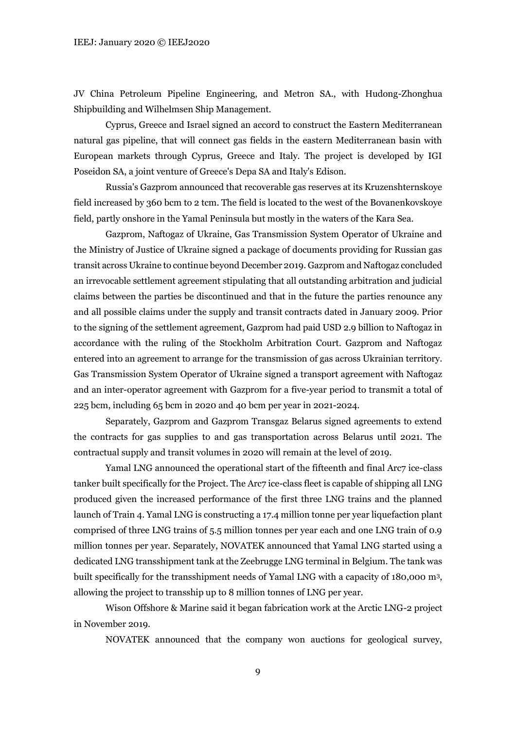JV China Petroleum Pipeline Engineering, and Metron SA., with Hudong-Zhonghua Shipbuilding and Wilhelmsen Ship Management.

Cyprus, Greece and Israel signed an accord to construct the Eastern Mediterranean natural gas pipeline, that will connect gas fields in the eastern Mediterranean basin with European markets through Cyprus, Greece and Italy. The project is developed by IGI Poseidon SA, a joint venture of Greece's Depa SA and Italy's Edison.

Russia's Gazprom announced that recoverable gas reserves at its Kruzenshternskoye field increased by 360 bcm to 2 tcm. The field is located to the west of the Bovanenkovskoye field, partly onshore in the Yamal Peninsula but mostly in the waters of the Kara Sea.

Gazprom, Naftogaz of Ukraine, Gas Transmission System Operator of Ukraine and the Ministry of Justice of Ukraine signed a package of documents providing for Russian gas transit across Ukraine to continue beyond December 2019. Gazprom and Naftogaz concluded an irrevocable settlement agreement stipulating that all outstanding arbitration and judicial claims between the parties be discontinued and that in the future the parties renounce any and all possible claims under the supply and transit contracts dated in January 2009. Prior to the signing of the settlement agreement, Gazprom had paid USD 2.9 billion to Naftogaz in accordance with the ruling of the Stockholm Arbitration Court. Gazprom and Naftogaz entered into an agreement to arrange for the transmission of gas across Ukrainian territory. Gas Transmission System Operator of Ukraine signed a transport agreement with Naftogaz and an inter-operator agreement with Gazprom for a five-year period to transmit a total of 225 bcm, including 65 bcm in 2020 and 40 bcm per year in 2021-2024.

Separately, Gazprom and Gazprom Transgaz Belarus signed agreements to extend the contracts for gas supplies to and gas transportation across Belarus until 2021. The contractual supply and transit volumes in 2020 will remain at the level of 2019.

Yamal LNG announced the operational start of the fifteenth and final Arc7 ice-class tanker built specifically for the Project. The Arc7 ice-class fleet is capable of shipping all LNG produced given the increased performance of the first three LNG trains and the planned launch of Train 4. Yamal LNG is constructing a 17.4 million tonne per year liquefaction plant comprised of three LNG trains of 5.5 million tonnes per year each and one LNG train of 0.9 million tonnes per year. Separately, NOVATEK announced that Yamal LNG started using a dedicated LNG transshipment tank at the Zeebrugge LNG terminal in Belgium. The tank was built specifically for the transshipment needs of Yamal LNG with a capacity of 180,000 m<sup>3</sup> , allowing the project to transship up to 8 million tonnes of LNG per year.

Wison Offshore & Marine said it began fabrication work at the Arctic LNG-2 project in November 2019.

NOVATEK announced that the company won auctions for geological survey,